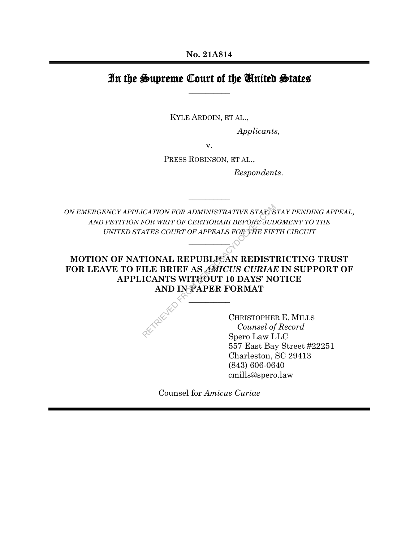# In the Supreme Court of the United States **\_\_\_\_\_\_\_\_\_\_**

KYLE ARDOIN, ET AL.,

*Applicants*,

v.

PRESS ROBINSON, ET AL.,

*Respondents*.

*ON EMERGENCY APPLICATION FOR ADMINISTRATIVE STAY, STAY PENDING APPEAL, AND PETITION FOR WRIT OF CERTIORARI BEFORE JUDGMENT TO THE UNITED STATES COURT OF APPEALS FOR THE FIFTH CIRCUIT*

**\_\_\_\_\_\_\_\_\_\_** 

**\_\_\_\_\_\_\_\_\_\_** 

# **MOTION OF NATIONAL REPUBLICAN REDISTRICTING TRUST FOR LEAVE TO FILE BRIEF AS** *AMICUS CURIAE* **IN SUPPORT OF APPLICANTS WITHOUT 10 DAYS' NOTICE AND IN PAPER FORMAT** CATION FOR ADMINISTRATIVE STARS<br>
FOR WRIT OF CERTIORARI BEFORE JUDES<br>
ATES COURT OF APPEALS FOR THE FIFT<br>
TIONAL REPUBLICAN REDIST<br>
ILLE BRIEF AS AMICUS CURIAL<br>
ICANTS WITHOUT 10 DAYS' NO<br>
AND INSPAPER FORMAT<br>
CHRISTOPHE<br>

**\_\_\_\_\_\_\_\_\_\_** 

CHRISTOPHER E. MILLS *Counsel of Record* Spero Law LLC 557 East Bay Street #22251 Charleston, SC 29413 (843) 606-0640 cmills@spero.law

Counsel for *Amicus Curiae*

 $\overline{a}$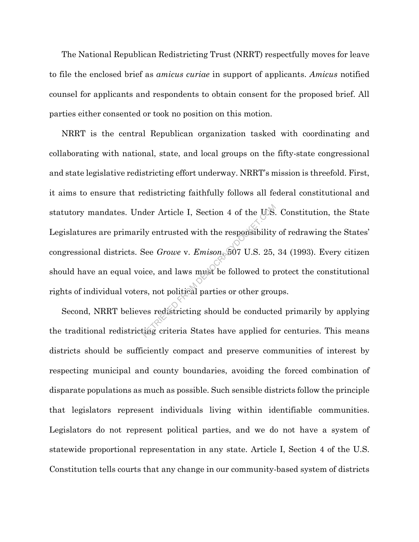The National Republican Redistricting Trust (NRRT) respectfully moves for leave to file the enclosed brief as *amicus curiae* in support of applicants. *Amicus* notified counsel for applicants and respondents to obtain consent for the proposed brief. All parties either consented or took no position on this motion.

NRRT is the central Republican organization tasked with coordinating and collaborating with national, state, and local groups on the fifty-state congressional and state legislative redistricting effort underway. NRRT's mission is threefold. First, it aims to ensure that redistricting faithfully follows all federal constitutional and statutory mandates. Under Article I, Section 4 of the U.S. Constitution, the State Legislatures are primarily entrusted with the responsibility of redrawing the States' congressional districts. See *Growe* v. *Emison*, 507 U.S. 25, 34 (1993). Every citizen should have an equal voice, and laws must be followed to protect the constitutional rights of individual voters, not political parties or other groups. der Article I, Section 4 of the U.S.<br>ly entrusted with the responsibility<br>See *Growe* v. *Emison*, 507 U.S. 25,<br>ice, and laws must be followed to p<br>rs, not political parties or other grous<br>reserved interesting should be co

Second, NRRT believes redistricting should be conducted primarily by applying the traditional redistricting criteria States have applied for centuries. This means districts should be sufficiently compact and preserve communities of interest by respecting municipal and county boundaries, avoiding the forced combination of disparate populations as much as possible. Such sensible districts follow the principle that legislators represent individuals living within identifiable communities. Legislators do not represent political parties, and we do not have a system of statewide proportional representation in any state. Article I, Section 4 of the U.S. Constitution tells courts that any change in our community-based system of districts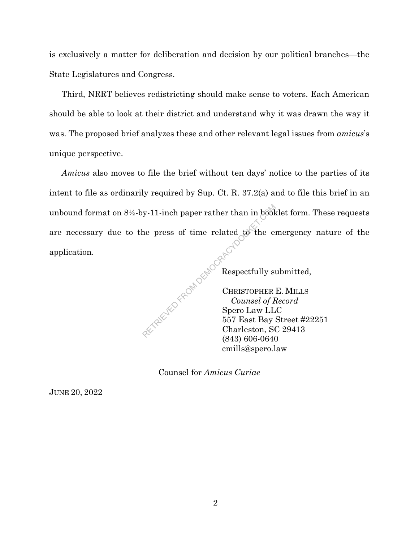is exclusively a matter for deliberation and decision by our political branches—the State Legislatures and Congress.

Third, NRRT believes redistricting should make sense to voters. Each American should be able to look at their district and understand why it was drawn the way it was. The proposed brief analyzes these and other relevant legal issues from *amicus*'s unique perspective.

*Amicus* also moves to file the brief without ten days' notice to the parties of its intent to file as ordinarily required by Sup. Ct. R. 37.2(a) and to file this brief in an unbound format on 8½-by-11-inch paper rather than in booklet form. These requests are necessary due to the press of time related to the emergency nature of the application. ad comprehensive Reports

Respectfully submitted,

CHRISTOPHER E. MILLS *Counsel of Record* Spero Law LLC 557 East Bay Street #22251 Charleston, SC 29413 (843) 606-0640 cmills@spero.law

Counsel for *Amicus Curiae*

JUNE 20, 2022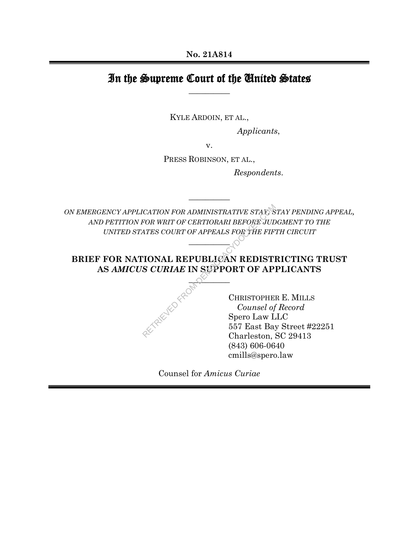# In the Supreme Court of the United States **\_\_\_\_\_\_\_\_\_\_**

KYLE ARDOIN, ET AL.,

*Applicants*,

v.

PRESS ROBINSON, ET AL.,

*Respondents*.

*ON EMERGENCY APPLICATION FOR ADMINISTRATIVE STAY, STAY PENDING APPEAL, AND PETITION FOR WRIT OF CERTIORARI BEFORE JUDGMENT TO THE UNITED STATES COURT OF APPEALS FOR THE FIFTH CIRCUIT*

**\_\_\_\_\_\_\_\_\_\_** 

**\_\_\_\_\_\_\_\_\_\_** 

#### **BRIEF FOR NATIONAL REPUBLICAN REDISTRICTING TRUST AS** *AMICUS CURIAE* **IN SUPPORT OF APPLICANTS**

 $\sim$   $\sim$ 

RETRIEVED FR

CHRISTOPHER E. MILLS *Counsel of Record* Spero Law LLC 557 East Bay Street #22251 Charleston, SC 29413 (843) 606-0640 cmills@spero.law

Counsel for *Amicus Curiae*

 $\overline{a}$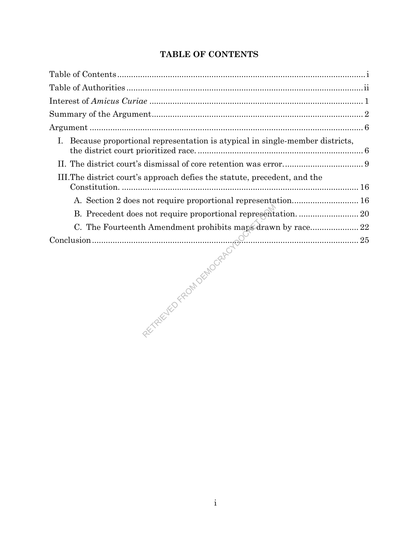# **TABLE OF CONTENTS**

| Because proportional representation is atypical in single-member districts, |  |
|-----------------------------------------------------------------------------|--|
|                                                                             |  |
| III. The district court's approach defies the statute, precedent, and the   |  |
|                                                                             |  |
| B. Precedent does not require proportional representation.  20              |  |
| C. The Fourteenth Amendment prohibits maps drawn by race 22                 |  |
|                                                                             |  |
|                                                                             |  |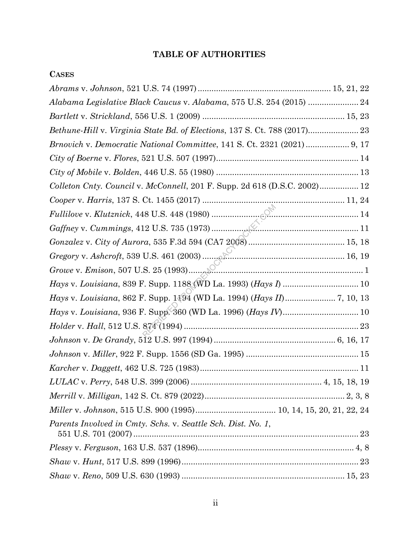#### **TABLE OF AUTHORITIES**

**CASES**

# *Abrams* v. *Johnson*, 521 U.S. 74 (1997).......................................................... 15, 21, 22 *Alabama Legislative Black Caucus* v. *Alabama*, 575 U.S. 254 (2015) ...................... 24 *Bartlett* v. *Strickland*, 556 U.S. 1 (2009) .............................................................. 15, 23 *Bethune-Hill* v. *Virginia State Bd. of Elections*, 137 S. Ct. 788 (2017)...................... 23 *Brnovich* v. *Democratic National Committee*, 141 S. Ct. 2321 (2021)................... 9, 17 *City of Boerne* v. *Flores*, 521 U.S. 507 (1997).............................................................. 14 *City of Mobile* v. *Bolden*, 446 U.S. 55 (1980) .............................................................. 13 *Colleton Cnty. Council* v. *McConnell*, 201 F. Supp. 2d 618 (D.S.C. 2002)................. 12 *Cooper* v. *Harris*, 137 S. Ct. 1455 (2017) .............................................................. 11, 24 *Fullilove* v. *Klutznick*, 448 U.S. 448 (1980) ................................................................ 14 *Gaffney* v. *Cummings*, 412 U.S. 735 (1973)................................................................ 11 *Gonzalez* v. *City of Aurora*, 535 F.3d 594 (CA7 2008).......................................... 15, 18 *Gregory* v. *Ashcroft*, 539 U.S. 461 (2003) .............................................................. 16, 19 *Growe* v. *Emison*, 507 U.S. 25 (1993)............................................................................ 1 *Hays* v. *Louisiana*, 839 F. Supp. 1188 (WD La. 1993) (*Hays I*) ................................. 10 *Hays* v. *Louisiana*, 862 F. Supp. 1194 (WD La. 1994) (*Hays II*) ...................... 7, 10, 13 *Hays* v. *Louisiana*, 936 F. Supp. 360 (WD La. 1996) (*Hays IV*) ................................. 10 *Holder* v. *Hall*, 512 U.S. 874 (1994) ............................................................................ 23 *Johnson* v. *De Grandy*, 512 U.S. 997 (1994)..................................................... 6, 16, 17 *Johnson* v. *Miller*, 922 F. Supp. 1556 (SD Ga. 1995) ................................................. 15 *Karcher* v. *Daggett*, 462 U.S. 725 (1983)..................................................................... 11 *LULAC* v. *Perry*, 548 U.S. 399 (2006) ......................................................... 4, 15, 18, 19 *Merrill* v. *Milligan*, 142 S. Ct. 879 (2022)............................................................. 2, 3, 8 *Miller* v. *Johnson*, 515 U.S. 900 (1995)................................... 10, 14, 15, 20, 21, 22, 24 *Parents Involved in Cmty. Schs.* v. *Seattle Sch. Dist. No. 1*, 551 U.S. 701 (2007).................................................................................................. 23 *Plessy* v. *Ferguson*, 163 U.S. 537 (1896).................................................................... 4, 8 *Shaw* v. *Hunt*, 517 U.S. 899 (1996)............................................................................. 23 *Shaw* v. *Reno*, 509 U.S. 630 (1993) ....................................................................... 15, 23 18 U.S. 448 (1980)<br>
12 U.S. 735 (1973)<br>
22 U.S. 735 (1973)<br>
23 U.S. 461 (2003)<br>
23 C.S. 461 (2003)<br>
25 C.Supp. 1188 (WD La. 1993) (*Hays*<br>
25 C.Supp. 360 (WD La. 1996) (*Hays* I.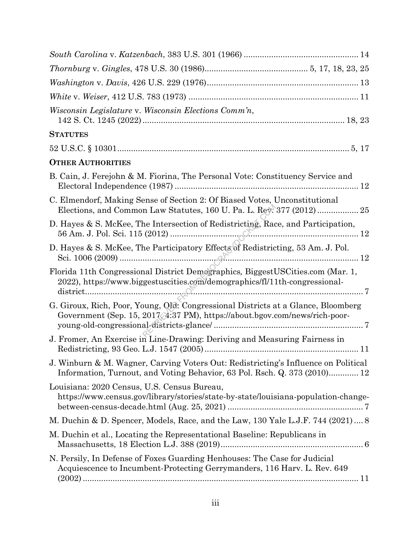| Wisconsin Legislature v. Wisconsin Elections Comm'n,                                                                                                             |
|------------------------------------------------------------------------------------------------------------------------------------------------------------------|
| <b>STATUTES</b>                                                                                                                                                  |
|                                                                                                                                                                  |
| <b>OTHER AUTHORITIES</b>                                                                                                                                         |
| B. Cain, J. Ferejohn & M. Fiorina, The Personal Vote: Constituency Service and                                                                                   |
| C. Elmendorf, Making Sense of Section 2: Of Biased Votes, Unconstitutional<br>Elections, and Common Law Statutes, 160 U. Pa. L. Rev. 377 (2012)  25              |
| D. Hayes & S. McKee, The Intersection of Redistricting, Race, and Participation,                                                                                 |
| D. Hayes & S. McKee, The Participatory Effects of Redistricting, 53 Am. J. Pol.                                                                                  |
| Florida 11th Congressional District Demographics, BiggestUSCities.com (Mar. 1,<br>2022), https://www.biggestuscities.com/demographics/fl/11th-congressional-     |
| G. Giroux, Rich, Poor, Young, Old: Congressional Districts at a Glance, Bloomberg<br>Government (Sep. 15, 2017, 4:37 PM), https://about.bgov.com/news/rich-poor- |
| J. Fromer, An Exercise in Line-Drawing: Deriving and Measuring Fairness in                                                                                       |
| J. Winburn & M. Wagner, Carving Voters Out: Redistricting's Influence on Political<br>Information, Turnout, and Voting Behavior, 63 Pol. Rsch. Q. 373 (2010) 12  |
| Louisiana: 2020 Census, U.S. Census Bureau,<br>https://www.census.gov/library/stories/state-by-state/louisiana-population-change-                                |
| M. Duchin & D. Spencer, Models, Race, and the Law, 130 Yale L.J.F. 744 (2021) 8                                                                                  |
| M. Duchin et al., Locating the Representational Baseline: Republicans in                                                                                         |
| N. Persily, In Defense of Foxes Guarding Henhouses: The Case for Judicial<br>Acquiescence to Incumbent-Protecting Gerrymanders, 116 Harv. L. Rev. 649            |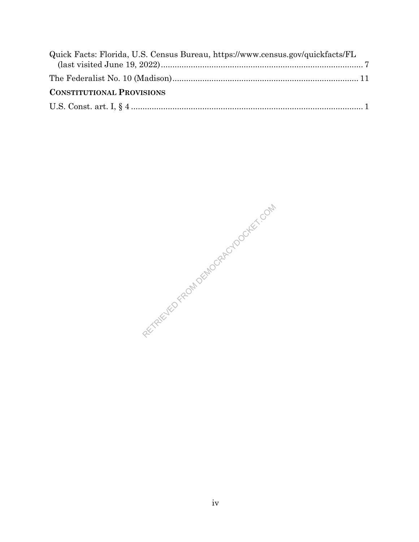| Quick Facts: Florida, U.S. Census Bureau, https://www.census.gov/quickfacts/FL |  |
|--------------------------------------------------------------------------------|--|
|                                                                                |  |
|                                                                                |  |
| <b>CONSTITUTIONAL PROVISIONS</b>                                               |  |
|                                                                                |  |

RETRIEVED FROM DEMOCRACYDOCKET.COM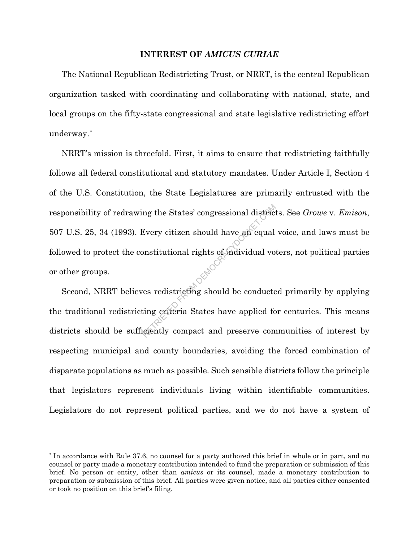#### **INTEREST OF** *AMICUS CURIAE*

The National Republican Redistricting Trust, or NRRT, is the central Republican organization tasked with coordinating and collaborating with national, state, and local groups on the fifty-state congressional and state legislative redistricting effort underway.\*

NRRT's mission is threefold. First, it aims to ensure that redistricting faithfully follows all federal constitutional and statutory mandates. Under Article I, Section 4 of the U.S. Constitution, the State Legislatures are primarily entrusted with the responsibility of redrawing the States' congressional districts. See *Growe* v. *Emison*, 507 U.S. 25, 34 (1993). Every citizen should have an equal voice, and laws must be followed to protect the constitutional rights of individual voters, not political parties or other groups. me the States' congressional district<br>Every citizen should have an equal<br>positivational rights of individual vo<br>es redistricting should be conducte<br>ting criteria States have applied for<br>exercity compact and preserve con

Second, NRRT believes redistricting should be conducted primarily by applying the traditional redistricting criteria States have applied for centuries. This means districts should be sufficiently compact and preserve communities of interest by respecting municipal and county boundaries, avoiding the forced combination of disparate populations as much as possible. Such sensible districts follow the principle that legislators represent individuals living within identifiable communities. Legislators do not represent political parties, and we do not have a system of

<sup>\*</sup> In accordance with Rule 37.6, no counsel for a party authored this brief in whole or in part, and no counsel or party made a monetary contribution intended to fund the preparation or submission of this brief. No person or entity, other than *amicus* or its counsel, made a monetary contribution to preparation or submission of this brief. All parties were given notice, and all parties either consented or took no position on this brief's filing.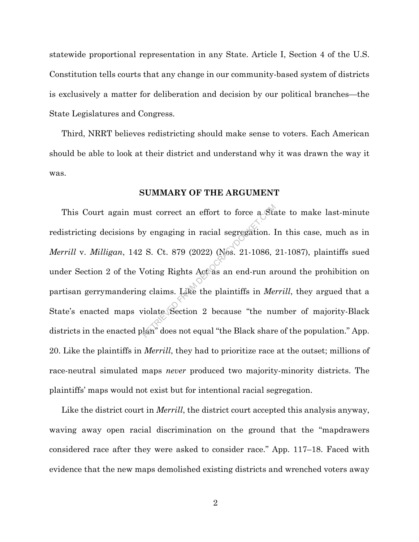statewide proportional representation in any State. Article I, Section 4 of the U.S. Constitution tells courts that any change in our community-based system of districts is exclusively a matter for deliberation and decision by our political branches—the State Legislatures and Congress.

Third, NRRT believes redistricting should make sense to voters. Each American should be able to look at their district and understand why it was drawn the way it was.

#### **SUMMARY OF THE ARGUMENT**

This Court again must correct an effort to force a State to make last-minute redistricting decisions by engaging in racial segregation. In this case, much as in *Merrill* v. *Milligan*, 142 S. Ct. 879 (2022) (Nos. 21-1086, 21-1087), plaintiffs sued under Section 2 of the Voting Rights Act as an end-run around the prohibition on partisan gerrymandering claims. Like the plaintiffs in *Merrill*, they argued that a State's enacted maps violate Section 2 because "the number of majority-Black districts in the enacted plan" does not equal "the Black share of the population." App. 20. Like the plaintiffs in *Merrill*, they had to prioritize race at the outset; millions of race-neutral simulated maps *never* produced two majority-minority districts. The plaintiffs' maps would not exist but for intentional racial segregation. ust correct an effort to force a Sta<br>y engaging in racial segregation. I<br>S. Ct. 879 (2022) (Nos. 21-1086, 3<br>Joting Rights Act as an end-run ar<br>g claims. Like the plaintiffs in *Mei*<br>violate Section 2 because "the nu<br>lan" d

Like the district court in *Merrill*, the district court accepted this analysis anyway, waving away open racial discrimination on the ground that the "mapdrawers considered race after they were asked to consider race." App. 117–18. Faced with evidence that the new maps demolished existing districts and wrenched voters away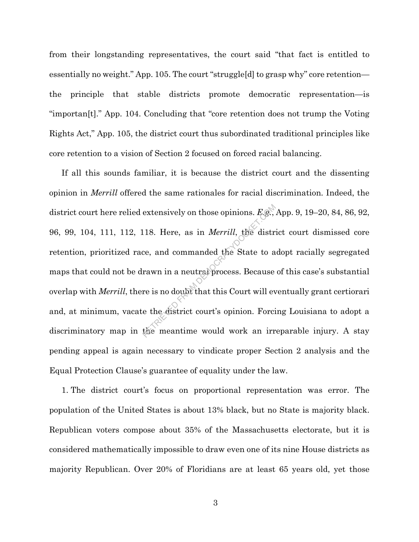from their longstanding representatives, the court said "that fact is entitled to essentially no weight." App. 105. The court "struggle[d] to grasp why" core retention the principle that stable districts promote democratic representation—is "importan[t]." App. 104. Concluding that "core retention does not trump the Voting Rights Act," App. 105, the district court thus subordinated traditional principles like core retention to a vision of Section 2 focused on forced racial balancing.

If all this sounds familiar, it is because the district court and the dissenting opinion in *Merrill* offered the same rationales for racial discrimination. Indeed, the district court here relied extensively on those opinions. *E.g.*, App. 9, 19–20, 84, 86, 92, 96, 99, 104, 111, 112, 118. Here, as in *Merrill*, the district court dismissed core retention, prioritized race, and commanded t 96, 99, 104, 111, 112, 118. Here, as in *Merrill*, the district court dismissed core retention, prioritized race, and commanded the State to adopt racially segregated maps that could not be drawn in a neutral process. Because of this case's substantial overlap with *Merrill*, there is no doubt that this Court will eventually grant certiorari and, at minimum, vacate the district court's opinion. Forcing Louisiana to adopt a discriminatory map in the meantime would work an irreparable injury. A stay pending appeal is again necessary to vindicate proper Section 2 analysis and the Equal Protection Clause's guarantee of equality under the law.

1. The district court's focus on proportional representation was error. The population of the United States is about 13% black, but no State is majority black. Republican voters compose about 35% of the Massachusetts electorate, but it is considered mathematically impossible to draw even one of its nine House districts as majority Republican. Over 20% of Floridians are at least 65 years old, yet those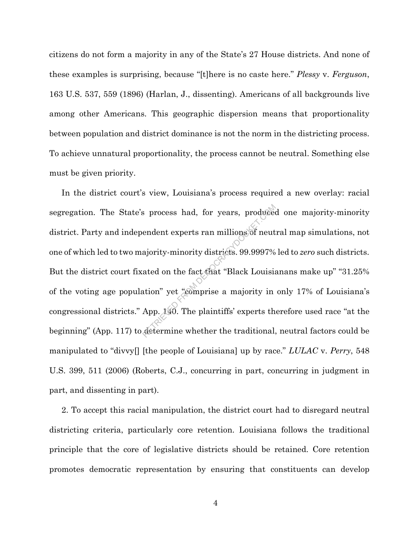citizens do not form a majority in any of the State's 27 House districts. And none of these examples is surprising, because "[t]here is no caste here." *Plessy* v. *Ferguson*, 163 U.S. 537, 559 (1896) (Harlan, J., dissenting). Americans of all backgrounds live among other Americans. This geographic dispersion means that proportionality between population and district dominance is not the norm in the districting process. To achieve unnatural proportionality, the process cannot be neutral. Something else must be given priority.

In the district court's view, Louisiana's process required a new overlay: racial segregation. The State's process had, for years, produced one majority-minority district. Party and independent experts ran millions of neutral map simulations, not one of which led to two majority-minority districts. 99.9997% led to *zero* such districts. But the district court fixated on the fact that "Black Louisianans make up" "31.25% of the voting age population" yet "comprise a majority in only 17% of Louisiana's congressional districts." App. 140. The plaintiffs' experts therefore used race "at the beginning" (App. 117) to determine whether the traditional, neutral factors could be manipulated to "divvy[] [the people of Louisiana] up by race." *LULAC* v. *Perry*, 548 U.S. 399, 511 (2006) (Roberts, C.J., concurring in part, concurring in judgment in part, and dissenting in part). reduced and the spectrum of the spectrum of the advertised agency of the spectrum and a spectrum of the fact that "Black Louisiantion" yet "comprise a majority in App. 140. The plaintiffs' experts the determine whether the

2. To accept this racial manipulation, the district court had to disregard neutral districting criteria, particularly core retention. Louisiana follows the traditional principle that the core of legislative districts should be retained. Core retention promotes democratic representation by ensuring that constituents can develop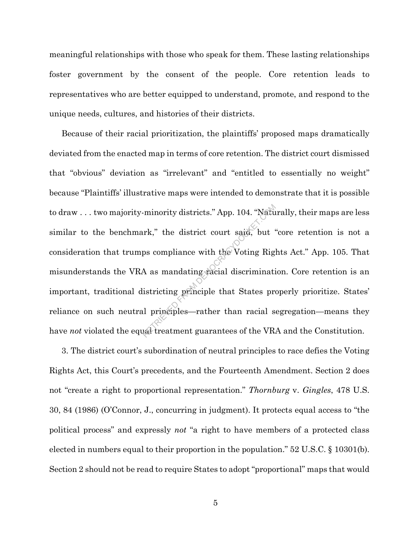meaningful relationships with those who speak for them. These lasting relationships foster government by the consent of the people. Core retention leads to representatives who are better equipped to understand, promote, and respond to the unique needs, cultures, and histories of their districts.

Because of their racial prioritization, the plaintiffs' proposed maps dramatically deviated from the enacted map in terms of core retention. The district court dismissed that "obvious" deviation as "irrelevant" and "entitled to essentially no weight" because "Plaintiffs' illustrative maps were intended to demonstrate that it is possible to draw . . . two majority-minority districts." App. 104. "Naturally, their maps are less similar to the benchmark," the district court said, but "core retention is not a consideration that trumps compliance with the Voting Rights Act." App. 105. That misunderstands the VRA as mandating racial discrimination. Core retention is an important, traditional districting principle that States properly prioritize. States' reliance on such neutral principles—rather than racial segregation—means they have *not* violated the equal treatment guarantees of the VRA and the Constitution. minority districts." App. 104. "Naturals"<br>
urk," the district court said, but<br>
ps compliance with the Voting Rig<br>
A as mandating racial discriminati<br>
istricting principle that States pre<br>
ul principles—rather than racial s

3. The district court's subordination of neutral principles to race defies the Voting Rights Act, this Court's precedents, and the Fourteenth Amendment. Section 2 does not "create a right to proportional representation." *Thornburg* v. *Gingles*, 478 U.S. 30, 84 (1986) (O'Connor, J., concurring in judgment). It protects equal access to "the political process" and expressly *not* "a right to have members of a protected class elected in numbers equal to their proportion in the population." 52 U.S.C. § 10301(b). Section 2 should not be read to require States to adopt "proportional" maps that would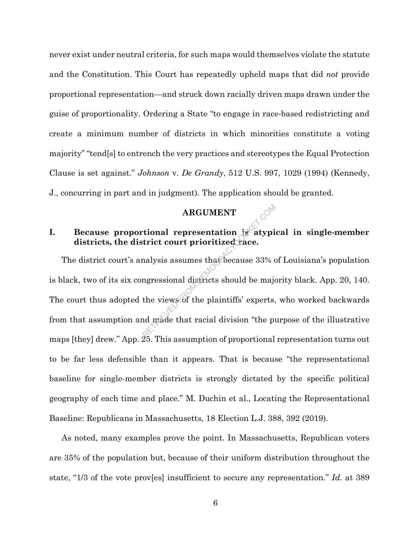never exist under neutral criteria, for such maps would themselves violate the statute and the Constitution. This Court has repeatedly upheld maps that did *not* provide proportional representation—and struck down racially driven maps drawn under the guise of proportionality. Ordering a State "to engage in race-based redistricting and create a minimum number of districts in which minorities constitute a voting majority" "tend[s] to entrench the very practices and stereotypes the Equal Protection Clause is set against." *Johnson* v. *De Grandy*, 512 U.S. 997, 1029 (1994) (Kennedy, J., concurring in part and in judgment). The application should be granted.

#### **ARGUMENT**

#### **I.** Because proportional representation is atypical in single-member **districts, the district court prioritized race.**

The district court's analysis assumes that because 33% of Louisiana's population is black, two of its six congressional districts should be majority black. App. 20, 140. The court thus adopted the views of the plaintiffs' experts, who worked backwards from that assumption and made that racial division "the purpose of the illustrative maps [they] drew." App. 25. This assumption of proportional representation turns out to be far less defensible than it appears. That is because "the representational baseline for single-member districts is strongly dictated by the specific political geography of each time and place." M. Duchin et al., Locating the Representational Baseline: Republicans in Massachusetts, 18 Election L.J. 388, 392 (2019). ARGUMENT<br>
trional representation is atypit<br>
trict court prioritized race.<br>
alysis assumes that because 33% of<br>
ngressional districts should be major<br>
the views of the plaintiffs' experts,<br>
ad made that racial division "th

As noted, many examples prove the point. In Massachusetts, Republican voters are 35% of the population but, because of their uniform distribution throughout the state, "1/3 of the vote prov[es] insufficient to secure any representation." *Id.* at 389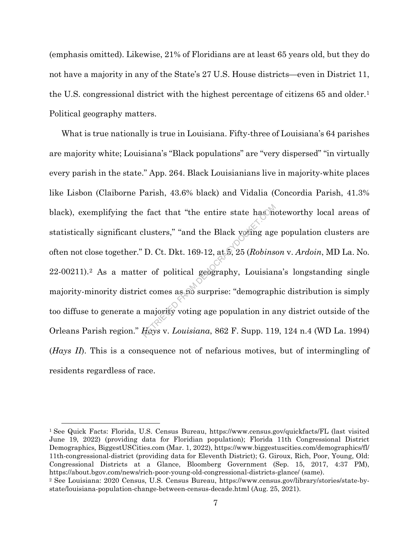(emphasis omitted). Likewise, 21% of Floridians are at least 65 years old, but they do not have a majority in any of the State's 27 U.S. House districts—even in District 11, the U.S. congressional district with the highest percentage of citizens 65 and older.1 Political geography matters.

What is true nationally is true in Louisiana. Fifty-three of Louisiana's 64 parishes are majority white; Louisiana's "Black populations" are "very dispersed" "in virtually every parish in the state." App. 264. Black Louisianians live in majority-white places like Lisbon (Claiborne Parish, 43.6% black) and Vidalia (Concordia Parish, 41.3% black), exemplifying the fact that "the entire state has noteworthy local areas of statistically significant clusters," "and the Black voting age population clusters are often not close together." D. Ct. Dkt. 169-12, at 5, 25 (*Robinson* v. *Ardoin*, MD La. No. 22-00211).2 As a matter of political geography, Louisiana's longstanding single majority-minority district comes as no surprise: "demographic distribution is simply too diffuse to generate a majority voting age population in any district outside of the Orleans Parish region." *Hays* v. *Louisiana*, 862 F. Supp. 119, 124 n.4 (WD La. 1994) (*Hays II*). This is a consequence not of nefarious motives, but of intermingling of residents regardless of race. Fact that "the entire state has the<br>clusters," "and the Black young age<br>D. Ct. Dkt. 169-12, at  $\overline{5}$ , 25 (*Robins*<br>er of political geography, Louisian<br>et comes as no surprise: "demograph<br>majority voting age population

<sup>1</sup> See Quick Facts: Florida, U.S. Census Bureau, https://www.census.gov/quickfacts/FL (last visited June 19, 2022) (providing data for Floridian population); Florida 11th Congressional District Demographics*,* BiggestUSCities.com (Mar. 1, 2022), https://www.biggestuscities.com/demographics/fl/ 11th-congressional-district (providing data for Eleventh District); G. Giroux, Rich, Poor, Young, Old: Congressional Districts at a Glance, Bloomberg Government (Sep. 15, 2017, 4:37 PM), https://about.bgov.com/news/rich-poor-young-old-congressional-districts-glance/ (same).

<sup>2</sup> See Louisiana: 2020 Census, U.S. Census Bureau, https://www.census.gov/library/stories/state-bystate/louisiana-population-change-between-census-decade.html (Aug. 25, 2021).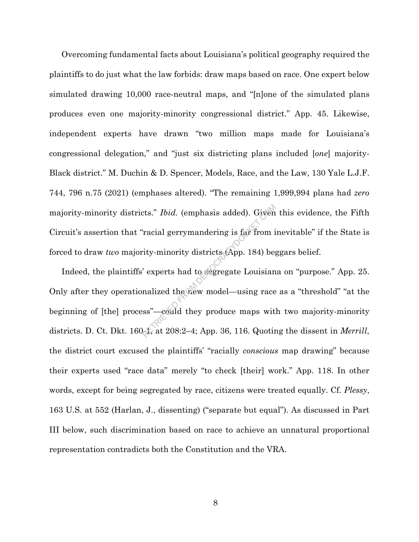Overcoming fundamental facts about Louisiana's political geography required the plaintiffs to do just what the law forbids: draw maps based on race. One expert below simulated drawing 10,000 race-neutral maps, and "[n]one of the simulated plans produces even one majority-minority congressional district." App. 45. Likewise, independent experts have drawn "two million maps made for Louisiana's congressional delegation," and "just six districting plans included [*one*] majority-Black district." M. Duchin & D. Spencer, Models, Race, and the Law, 130 Yale L.J.F. 744, 796 n.75 (2021) (emphases altered). "The remaining 1,999,994 plans had *zero* majority-minority districts." *Ibid.* (emphasis added). Given this evidence, the Fifth Circuit's assertion that "racial gerrymandering is far from inevitable" if the State is forced to draw *two* majority-minority districts (App. 184) beggars belief.

Indeed, the plaintiffs' experts had to segregate Louisiana on "purpose." App. 25. Only after they operationalized the new model—using race as a "threshold" "at the beginning of [the] process"—could they produce maps with two majority-minority districts. D. Ct. Dkt. 160-1, at 208:2–4; App. 36, 116. Quoting the dissent in *Merrill*, the district court excused the plaintiffs' "racially *conscious* map drawing" because their experts used "race data" merely "to check [their] work." App. 118. In other words, except for being segregated by race, citizens were treated equally. Cf. *Plessy*, 163 U.S. at 552 (Harlan, J., dissenting) ("separate but equal"). As discussed in Part III below, such discrimination based on race to achieve an unnatural proportional representation contradicts both the Constitution and the VRA. racial gerrymandering is far from i<br>
racial gerrymandering is far from i<br>
rity-minority districts (App. 184) be,<br>
respects had to segregate Louisian<br>
nalized the new model—using race<br>
ss"—could they produce maps wit<br>
sk, a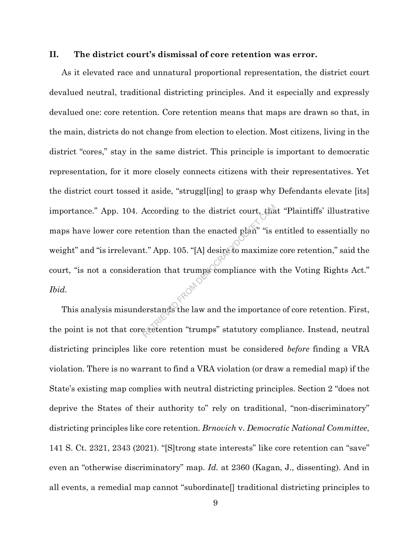#### **II. The district court's dismissal of core retention was error.**

As it elevated race and unnatural proportional representation, the district court devalued neutral, traditional districting principles. And it especially and expressly devalued one: core retention. Core retention means that maps are drawn so that, in the main, districts do not change from election to election. Most citizens, living in the district "cores," stay in the same district. This principle is important to democratic representation, for it more closely connects citizens with their representatives. Yet the district court tossed it aside, "struggl[ing] to grasp why Defendants elevate [its] importance." App. 104. According to the district court, that "Plaintiffs' illustrative maps have lower core retention than the enacted plan" "is entitled to essentially no weight" and "is irrelevant." App. 105. "[A] desire to maximize core retention," said the court, "is not a consideration that trumps compliance with the Voting Rights Act." *Ibid.* According to the district court, that<br>tention than the enacted plan" "is to<br>t." App. 105. "[A] desire to maximize<br>ation that trumps compliance with<br>erstands the law and the importance<br>exetention "trumps" statutory compleme

This analysis misunderstands the law and the importance of core retention. First, the point is not that core retention "trumps" statutory compliance. Instead, neutral districting principles like core retention must be considered *before* finding a VRA violation. There is no warrant to find a VRA violation (or draw a remedial map) if the State's existing map complies with neutral districting principles. Section 2 "does not deprive the States of their authority to" rely on traditional, "non-discriminatory" districting principles like core retention. *Brnovich* v. *Democratic National Committee*, 141 S. Ct. 2321, 2343 (2021). "[S]trong state interests" like core retention can "save" even an "otherwise discriminatory" map. *Id.* at 2360 (Kagan, J., dissenting). And in all events, a remedial map cannot "subordinate[] traditional districting principles to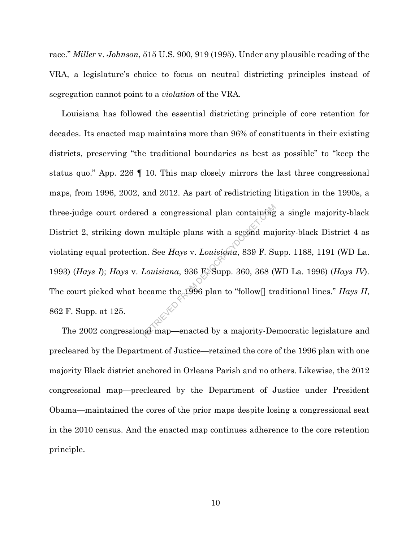race." *Miller* v. *Johnson*, 515 U.S. 900, 919 (1995). Under any plausible reading of the VRA, a legislature's choice to focus on neutral districting principles instead of segregation cannot point to a *violation* of the VRA.

Louisiana has followed the essential districting principle of core retention for decades. Its enacted map maintains more than 96% of constituents in their existing districts, preserving "the traditional boundaries as best as possible" to "keep the status quo." App. 226 ¶ 10. This map closely mirrors the last three congressional maps, from 1996, 2002, and 2012. As part of redistricting litigation in the 1990s, a three-judge court ordered a congressional plan containing a single majority-black District 2, striking down multiple plans with a second majority-black District 4 as violating equal protection. See *Hays* v. *Louisiana*, 839 F. Supp. 1188, 1191 (WD La. 1993) (*Hays I*); *Hays* v. *Louisiana*, 936 F. Supp. 360, 368 (WD La. 1996) (*Hays IV*). The court picked what became the 1996 plan to "follow[] traditional lines." *Hays II*, 862 F. Supp. at 125. ed a congressional plan containing<br>
n multiple plans with a second maj<br>
n. See Hays v. Louisiana, 839 F. Su<br>
Louisiana, 936 F. Supp. 360, 368 (<br>
ecame the 1996 plan to "follow[] tr<br>
al map—enacted by a majority-De

The 2002 congressional map—enacted by a majority-Democratic legislature and precleared by the Department of Justice—retained the core of the 1996 plan with one majority Black district anchored in Orleans Parish and no others. Likewise, the 2012 congressional map—precleared by the Department of Justice under President Obama—maintained the cores of the prior maps despite losing a congressional seat in the 2010 census. And the enacted map continues adherence to the core retention principle.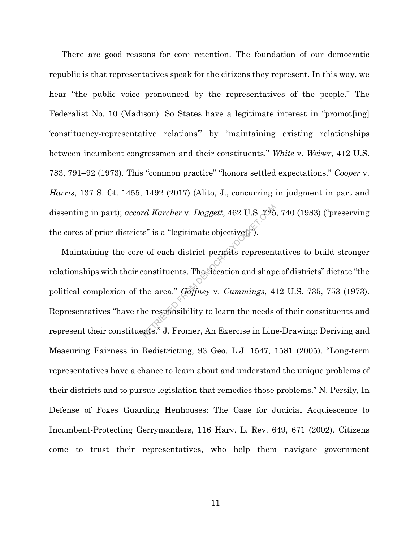There are good reasons for core retention. The foundation of our democratic republic is that representatives speak for the citizens they represent. In this way, we hear "the public voice pronounced by the representatives of the people." The Federalist No. 10 (Madison). So States have a legitimate interest in "promot[ing] 'constituency-representative relations'" by "maintaining existing relationships between incumbent congressmen and their constituents." *White* v. *Weiser*, 412 U.S. 783, 791–92 (1973). This "common practice" "honors settled expectations." *Cooper* v. *Harris*, 137 S. Ct. 1455, 1492 (2017) (Alito, J., concurring in judgment in part and the cores of prior districts" is a "legitimate objective[]").

dissenting in part); *accord Karcher* v. *Daggett*, 462 U.S. 725, 740 (1983) ("preserving<br>the cores of prior districts" is a "legitimate objective[from All and the stronger<br>Maintaining the core of each district permots rep Maintaining the core of each district permits representatives to build stronger relationships with their constituents. The "location and shape of districts" dictate "the political complexion of the area." *Gaffney* v. *Cummings*, 412 U.S. 735, 753 (1973). Representatives "have the responsibility to learn the needs of their constituents and represent their constituents." J. Fromer, An Exercise in Line-Drawing: Deriving and Measuring Fairness in Redistricting, 93 Geo. L.J. 1547, 1581 (2005). "Long-term representatives have a chance to learn about and understand the unique problems of their districts and to pursue legislation that remedies those problems." N. Persily, In Defense of Foxes Guarding Henhouses: The Case for Judicial Acquiescence to Incumbent-Protecting Gerrymanders, 116 Harv. L. Rev. 649, 671 (2002). Citizens come to trust their representatives, who help them navigate government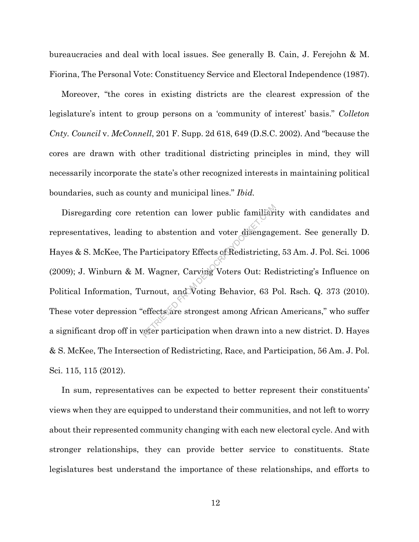bureaucracies and deal with local issues. See generally B. Cain, J. Ferejohn & M. Fiorina, The Personal Vote: Constituency Service and Electoral Independence (1987).

Moreover, "the cores in existing districts are the clearest expression of the legislature's intent to group persons on a 'community of interest' basis." *Colleton Cnty. Council* v. *McConnell*, 201 F. Supp. 2d 618, 649 (D.S.C. 2002). And "because the cores are drawn with other traditional districting principles in mind, they will necessarily incorporate the state's other recognized interests in maintaining political boundaries, such as county and municipal lines." *Ibid.*

Disregarding core retention can lower public familiarity with candidates and representatives, leading to abstention and voter disengagement. See generally D. Hayes & S. McKee, The Participatory Effects of Redistricting, 53 Am. J. Pol. Sci. 1006 (2009); J. Winburn & M. Wagner, Carving Voters Out: Redistricting's Influence on Political Information, Turnout, and Voting Behavior, 63 Pol. Rsch. Q. 373 (2010). These voter depression "effects are strongest among African Americans," who suffer a significant drop off in voter participation when drawn into a new district. D. Hayes & S. McKee, The Intersection of Redistricting, Race, and Participation, 56 Am. J. Pol. Sci. 115, 115 (2012). tention can lower public familiari<br>to abstention and voter disengage<br>Participatory Effects of Redistricting<br>Wagner, Carving Voters Out: Red<br>urnout, and Voting Behavior, 63 F<br>effects are strongest among African<br>veter partic

In sum, representatives can be expected to better represent their constituents' views when they are equipped to understand their communities, and not left to worry about their represented community changing with each new electoral cycle. And with stronger relationships, they can provide better service to constituents. State legislatures best understand the importance of these relationships, and efforts to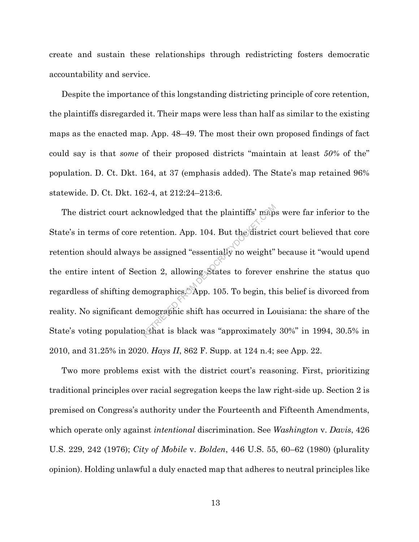create and sustain these relationships through redistricting fosters democratic accountability and service.

Despite the importance of this longstanding districting principle of core retention, the plaintiffs disregarded it. Their maps were less than half as similar to the existing maps as the enacted map. App. 48–49. The most their own proposed findings of fact could say is that *some* of their proposed districts "maintain at least *50%* of the" population. D. Ct. Dkt. 164, at 37 (emphasis added). The State's map retained 96% statewide. D. Ct. Dkt. 162-4, at 212:24–213:6.

The district court acknowledged that the plaintiffs' maps were far inferior to the State's in terms of core retention. App. 104. But the district court believed that core retention should always be assigned "essentially no weight" because it "would upend the entire intent of Section 2, allowing States to forever enshrine the status quo regardless of shifting demographics." App. 105. To begin, this belief is divorced from reality. No significant demographic shift has occurred in Louisiana: the share of the State's voting population that is black was "approximately 30%" in 1994, 30.5% in 2010, and 31.25% in 2020. *Hays II*, 862 F. Supp. at 124 n.4; see App. 22. retention. App. 104. But the district<br>vetention. App. 104. But the district<br>be assigned "essentially no weight"<br>tion 2, allowing States to forever<br>mographics. App. 105. To begin, the<br>mographic shift has occurred in Lo<br>at t

Two more problems exist with the district court's reasoning. First, prioritizing traditional principles over racial segregation keeps the law right-side up. Section 2 is premised on Congress's authority under the Fourteenth and Fifteenth Amendments, which operate only against *intentional* discrimination. See *Washington* v. *Davis*, 426 U.S. 229, 242 (1976); *City of Mobile* v. *Bolden*, 446 U.S. 55, 60–62 (1980) (plurality opinion). Holding unlawful a duly enacted map that adheres to neutral principles like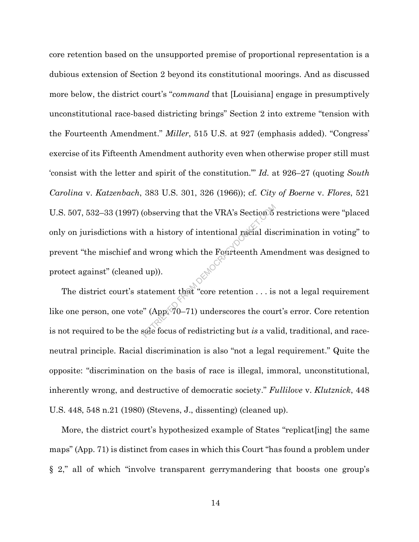core retention based on the unsupported premise of proportional representation is a dubious extension of Section 2 beyond its constitutional moorings. And as discussed more below, the district court's "*command* that [Louisiana] engage in presumptively unconstitutional race-based districting brings" Section 2 into extreme "tension with the Fourteenth Amendment." *Miller*, 515 U.S. at 927 (emphasis added). "Congress' exercise of its Fifteenth Amendment authority even when otherwise proper still must 'consist with the letter and spirit of the constitution.'" *Id.* at 926–27 (quoting *South Carolina* v. *Katzenbach*, 383 U.S. 301, 326 (1966)); cf. *City of Boerne* v. *Flores*, 521 U.S. 507, 532–33 (1997) (observing that the VRA's Section 5 restrictions were "placed only on jurisdictions with a history of intentional racial discrimination in voting" to prevent "the mischief and wrong which the Fourteenth Amendment was designed to protect against" (cleaned up)). (observing that the VRA's Section b<br>
h a history of intentional racial dis<br>
d wrong which the Fourteenth Ame<br>  $\begin{pmatrix} 1 & 0 \\ 0 & 1 \end{pmatrix}$ <br>
tatement that "core retention . . . is<br>
" (App 70–71) underscores the course

The district court's statement that "core retention . . . is not a legal requirement like one person, one vote" (App. 70–71) underscores the court's error. Core retention is not required to be the sole focus of redistricting but *is* a valid, traditional, and raceneutral principle. Racial discrimination is also "not a legal requirement." Quite the opposite: "discrimination on the basis of race is illegal, immoral, unconstitutional, inherently wrong, and destructive of democratic society." *Fullilove* v. *Klutznick*, 448 U.S. 448, 548 n.21 (1980) (Stevens, J., dissenting) (cleaned up).

More, the district court's hypothesized example of States "replicat[ing] the same maps" (App. 71) is distinct from cases in which this Court "has found a problem under § 2," all of which "involve transparent gerrymandering that boosts one group's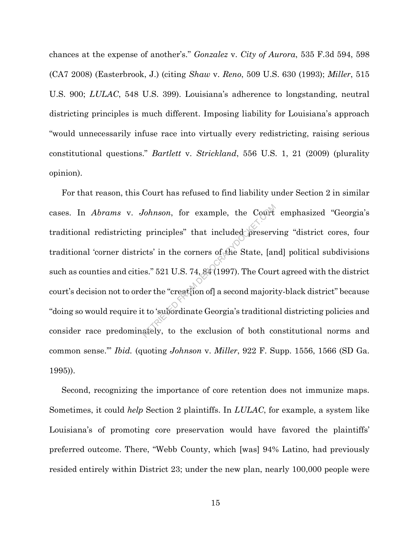chances at the expense of another's." *Gonzalez* v. *City of Aurora*, 535 F.3d 594, 598 (CA7 2008) (Easterbrook, J.) (citing *Shaw* v. *Reno*, 509 U.S. 630 (1993); *Miller*, 515 U.S. 900; *LULAC*, 548 U.S. 399). Louisiana's adherence to longstanding, neutral districting principles is much different. Imposing liability for Louisiana's approach "would unnecessarily infuse race into virtually every redistricting, raising serious constitutional questions." *Bartlett* v. *Strickland*, 556 U.S. 1, 21 (2009) (plurality opinion).

For that reason, this Court has refused to find liability under Section 2 in similar cases. In *Abrams* v. *Johnson*, for example, the Court emphasized "Georgia's traditional redistricting principles" that included preserving "district cores, four traditional 'corner districts' in the corners of the State, [and] political subdivisions such as counties and cities." 521 U.S. 74, 84 (1997). The Court agreed with the district court's decision not to order the "creat[ion of] a second majority-black district" because "doing so would require it to 'subordinate Georgia's traditional districting policies and consider race predominately, to the exclusion of both constitutional norms and common sense.'" *Ibid.* (quoting *Johnson* v. *Miller*, 922 F. Supp. 1556, 1566 (SD Ga. 1995)). Volnson, for example, the Court<br>principles" that included preserv<br>cts' in the corners of the State, [ar<br>es." 521 U.S. 74, 84 (1997). The Cour<br>ler the "creat[ion of] a second majorit<br>to 'subordinate Georgia's traditions<br>ate

Second, recognizing the importance of core retention does not immunize maps. Sometimes, it could *help* Section 2 plaintiffs. In *LULAC*, for example, a system like Louisiana's of promoting core preservation would have favored the plaintiffs' preferred outcome. There, "Webb County, which [was] 94% Latino, had previously resided entirely within District 23; under the new plan, nearly 100,000 people were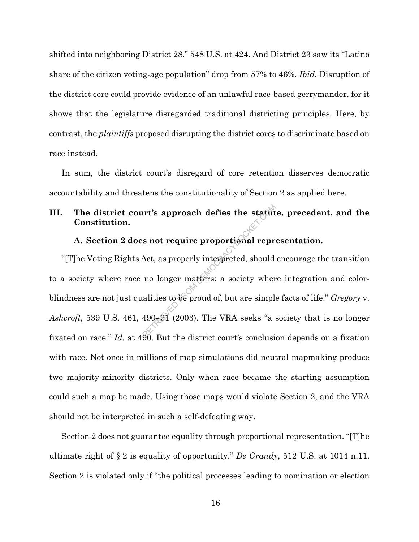shifted into neighboring District 28." 548 U.S. at 424. And District 23 saw its "Latino share of the citizen voting-age population" drop from 57% to 46%. *Ibid.* Disruption of the district core could provide evidence of an unlawful race-based gerrymander, for it shows that the legislature disregarded traditional districting principles. Here, by contrast, the *plaintiffs* proposed disrupting the district cores to discriminate based on race instead.

In sum, the district court's disregard of core retention disserves democratic accountability and threatens the constitutionality of Section 2 as applied here.

## **III. The district court's approach defies the statute, precedent, and the Constitution.**

# **A. Section 2 does not require proportional representation.**

"[T]he Voting Rights Act, as properly interpreted, should encourage the transition to a society where race no longer matters: a society where integration and colorblindness are not just qualities to be proud of, but are simple facts of life." *Gregory* v. *Ashcroft*, 539 U.S. 461, 490–91 (2003). The VRA seeks "a society that is no longer fixated on race." *Id.* at 490. But the district court's conclusion depends on a fixation with race. Not once in millions of map simulations did neutral mapmaking produce two majority-minority districts. Only when race became the starting assumption could such a map be made. Using those maps would violate Section 2, and the VRA should not be interpreted in such a self-defeating way. Int's approach defies the statute<br>s not require proportional repr<br>Act, as properly interpreted, should<br>no longer matters: a society where<br>alities to be proud of, but are simple<br>490–91 (2003). The VRA seeks "a

Section 2 does not guarantee equality through proportional representation. "[T]he ultimate right of § 2 is equality of opportunity." *De Grandy*, 512 U.S. at 1014 n.11. Section 2 is violated only if "the political processes leading to nomination or election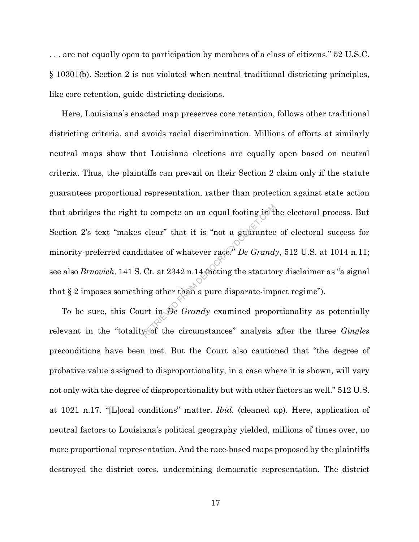. . . are not equally open to participation by members of a class of citizens." 52 U.S.C. § 10301(b). Section 2 is not violated when neutral traditional districting principles, like core retention, guide districting decisions.

Here, Louisiana's enacted map preserves core retention, follows other traditional districting criteria, and avoids racial discrimination. Millions of efforts at similarly neutral maps show that Louisiana elections are equally open based on neutral criteria. Thus, the plaintiffs can prevail on their Section 2 claim only if the statute guarantees proportional representation, rather than protection against state action that abridges the right to compete on an equal footing in the electoral process. But Section 2's text "makes clear" that it is "not a guarantee of electoral success for minority-preferred candidates of whatever race." *De Grandy*, 512 U.S. at 1014 n.11; see also *Brnovich*, 141 S. Ct. at 2342 n.14 (noting the statutory disclaimer as "a signal that § 2 imposes something other than a pure disparate-impact regime"). clear" that it is "not a guarantee<br>idates of whatever race." De Grand:<br>Ct. at 2342 n.14 (noting the statuto:<br>ing other than a pure disparate-imp<br>urt in De Grandy examined propo

To be sure, this Court in *De Grandy* examined proportionality as potentially relevant in the "totality of the circumstances" analysis after the three *Gingles* preconditions have been met. But the Court also cautioned that "the degree of probative value assigned to disproportionality, in a case where it is shown, will vary not only with the degree of disproportionality but with other factors as well." 512 U.S. at 1021 n.17. "[L]ocal conditions" matter. *Ibid.* (cleaned up). Here, application of neutral factors to Louisiana's political geography yielded, millions of times over, no more proportional representation. And the race-based maps proposed by the plaintiffs destroyed the district cores, undermining democratic representation. The district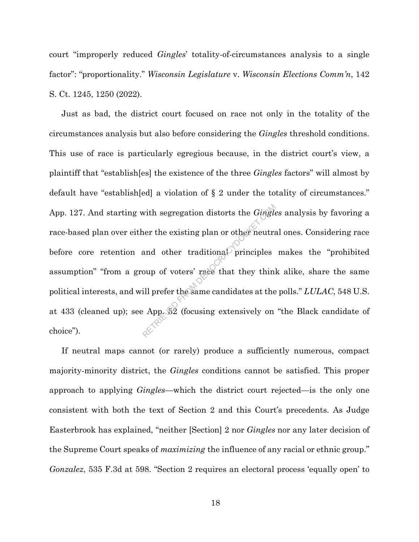court "improperly reduced *Gingles*' totality-of-circumstances analysis to a single factor": "proportionality." *Wisconsin Legislature* v. *Wisconsin Elections Comm'n*, 142 S. Ct. 1245, 1250 (2022).

Just as bad, the district court focused on race not only in the totality of the circumstances analysis but also before considering the *Gingles* threshold conditions. This use of race is particularly egregious because, in the district court's view, a plaintiff that "establish[es] the existence of the three *Gingles* factors" will almost by default have "establish[ed] a violation of § 2 under the totality of circumstances." App. 127. And starting with segregation distorts the *Gingles* analysis by favoring a race-based plan over either the existing plan or other neutral ones. Considering race before core retention and other traditional principles makes the "prohibited assumption" "from a group of voters' race that they think alike, share the same political interests, and will prefer the same candidates at the polls." *LULAC*, 548 U.S. at 433 (cleaned up); see App. 52 (focusing extensively on "the Black candidate of choice"). with segregation distorts the *Gingle*<br>ner the existing plan or other neutral<br>and other traditional principles<br>oup of voters' race that they thinl<br>ill prefer the same candidates at the<br>Apple 2 (focusing extensively on

If neutral maps cannot (or rarely) produce a sufficiently numerous, compact majority-minority district, the *Gingles* conditions cannot be satisfied. This proper approach to applying *Gingles*—which the district court rejected—is the only one consistent with both the text of Section 2 and this Court's precedents. As Judge Easterbrook has explained, "neither [Section] 2 nor *Gingles* nor any later decision of the Supreme Court speaks of *maximizing* the influence of any racial or ethnic group." *Gonzalez*, 535 F.3d at 598. "Section 2 requires an electoral process 'equally open' to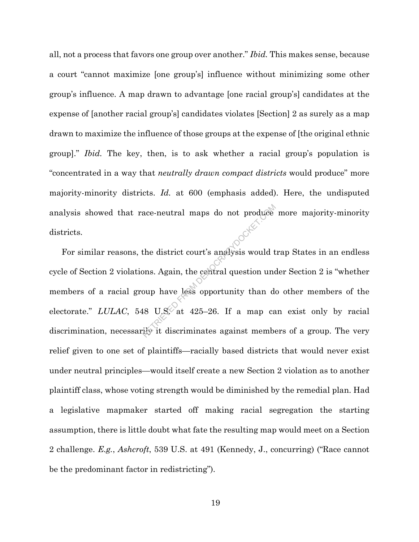all, not a process that favors one group over another." *Ibid.* This makes sense, because a court "cannot maximize [one group's] influence without minimizing some other group's influence. A map drawn to advantage [one racial group's] candidates at the expense of [another racial group's] candidates violates [Section] 2 as surely as a map drawn to maximize the influence of those groups at the expense of [the original ethnic group]." *Ibid.* The key, then, is to ask whether a racial group's population is "concentrated in a way that *neutrally drawn compact districts* would produce" more majority-minority districts. *Id.* at 600 (emphasis added). Here, the undisputed analysis showed that race-neutral maps do not produce more majority-minority districts.

For similar reasons, the district court's analysis would trap States in an endless cycle of Section 2 violations. Again, the central question under Section 2 is "whether members of a racial group have less opportunity than do other members of the electorate." *LULAC*, 548 U.S. at 425–26. If a map can exist only by racial discrimination, necessarily it discriminates against members of a group. The very relief given to one set of plaintiffs—racially based districts that would never exist under neutral principles—would itself create a new Section 2 violation as to another plaintiff class, whose voting strength would be diminished by the remedial plan. Had a legislative mapmaker started off making racial segregation the starting assumption, there is little doubt what fate the resulting map would meet on a Section 2 challenge. *E.g.*, *Ashcroft*, 539 U.S. at 491 (Kennedy, J., concurring) ("Race cannot be the predominant factor in redistricting"). ace-neutral maps do not produce<br>the district court's analysis would t<br>ons. Again, the central question und<br>oup have less opportunity than do<br>18 U.S. at 425–26. If a map ca<br>ity it discriminates against membe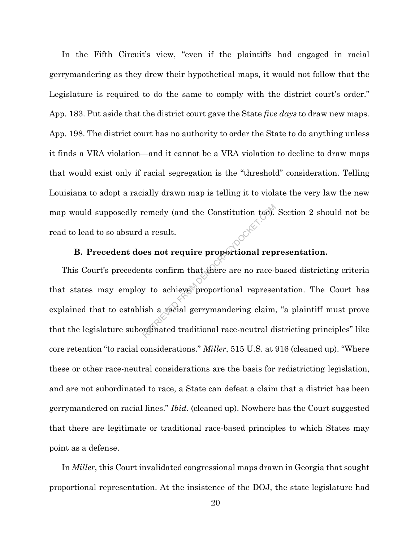In the Fifth Circuit's view, "even if the plaintiffs had engaged in racial gerrymandering as they drew their hypothetical maps, it would not follow that the Legislature is required to do the same to comply with the district court's order." App. 183. Put aside that the district court gave the State *five days* to draw new maps. App. 198. The district court has no authority to order the State to do anything unless it finds a VRA violation—and it cannot be a VRA violation to decline to draw maps that would exist only if racial segregation is the "threshold" consideration. Telling Louisiana to adopt a racially drawn map is telling it to violate the very law the new map would supposedly remedy (and the Constitution too). Section 2 should not be read to lead to so absurd a result.

## **B. Precedent does not require proportional representation.**

This Court's precedents confirm that there are no race-based districting criteria that states may employ to achieve proportional representation. The Court has explained that to establish a racial gerrymandering claim, "a plaintiff must prove that the legislature subordinated traditional race-neutral districting principles" like core retention "to racial considerations." *Miller*, 515 U.S. at 916 (cleaned up). "Where these or other race-neutral considerations are the basis for redistricting legislation, and are not subordinated to race, a State can defeat a claim that a district has been gerrymandered on racial lines." *Ibid.* (cleaned up). Nowhere has the Court suggested that there are legitimate or traditional race-based principles to which States may point as a defense. remedy (and the Constitution too).<br>
a result.<br>
es not require proportional rep<br>
nts confirm that there are no race-ly<br>
y to achieve proportional represe:<br>
ish a racial gerrymandering claim,<br>
redinated traditional race-neut

In *Miller*, this Court invalidated congressional maps drawn in Georgia that sought proportional representation. At the insistence of the DOJ, the state legislature had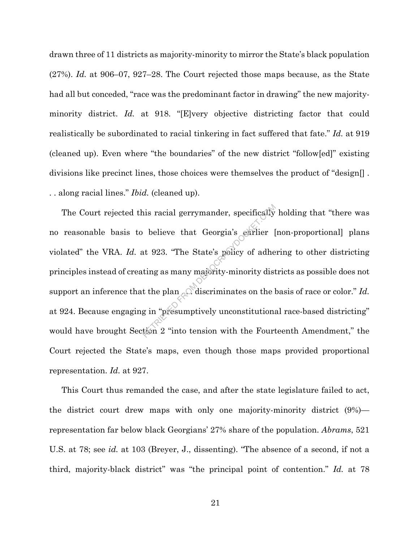drawn three of 11 districts as majority-minority to mirror the State's black population (27%). *Id.* at 906–07, 927–28. The Court rejected those maps because, as the State had all but conceded, "race was the predominant factor in drawing" the new majorityminority district. *Id.* at 918. "[E]very objective districting factor that could realistically be subordinated to racial tinkering in fact suffered that fate." *Id.* at 919 (cleaned up). Even where "the boundaries" of the new district "follow[ed]" existing divisions like precinct lines, those choices were themselves the product of "design[] . . . along racial lines." *Ibid.* (cleaned up).

The Court rejected this racial gerrymander, specifically holding that "there was<br>
reasonable basis to believe that Georgia's earlier [non-proportional] plans<br>
lated" the VRA. *Id.* at 923. "The State's policy of adhering no reasonable basis to believe that Georgia's earlier [non-proportional] plans violated" the VRA. *Id.* at 923. "The State's policy of adhering to other districting principles instead of creating as many majority-minority districts as possible does not support an inference that the plan  $\mathbb{R}^N$  discriminates on the basis of race or color." *Id.* at 924. Because engaging in "presumptively unconstitutional race-based districting" would have brought Section 2 "into tension with the Fourteenth Amendment," the Court rejected the State's maps, even though those maps provided proportional representation. *Id.* at 927.

This Court thus remanded the case, and after the state legislature failed to act, the district court drew maps with only one majority-minority district (9%) representation far below black Georgians' 27% share of the population. *Abrams*, 521 U.S. at 78; see *id.* at 103 (Breyer, J., dissenting). "The absence of a second, if not a third, majority-black district" was "the principal point of contention." *Id.* at 78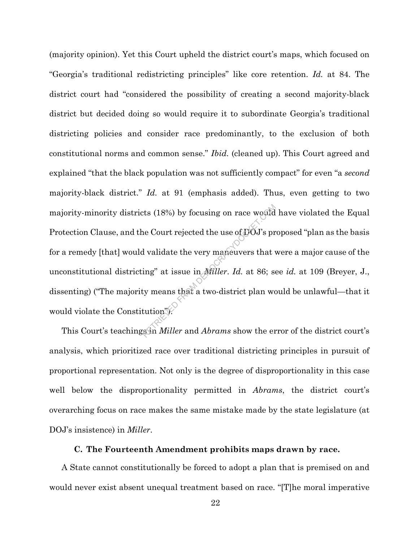(majority opinion). Yet this Court upheld the district court's maps, which focused on "Georgia's traditional redistricting principles" like core retention. *Id.* at 84. The district court had "considered the possibility of creating a second majority-black district but decided doing so would require it to subordinate Georgia's traditional districting policies and consider race predominantly, to the exclusion of both constitutional norms and common sense." *Ibid.* (cleaned up). This Court agreed and explained "that the black population was not sufficiently compact" for even "a *second* majority-black district." *Id.* at 91 (emphasis added). Thus, even getting to two majority-minority districts (18%) by focusing on race would have violated the Equal Protection Clause, and the Court rejected the use of DOJ's proposed "plan as the basis" for a remedy [that] would validate the very maneuvers that were a major cause of the unconstitutional districting" at issue in *Miller*. *Id.* at 86; see *id.* at 109 (Breyer, J., dissenting) ("The majority means that a two-district plan would be unlawful—that it would violate the Constitution"). Exts (18%) by focusing on race would<br>
the Court rejected the use of DOJ's pr<br>
d validate the very maneuvers that<br>
ing" at issue in *Miller. Id.* at 86; so<br>
ty means that a two-district plan wo<br>
tution."<br>
Sin *Miller* and

This Court's teachings in *Miller* and *Abrams* show the error of the district court's analysis, which prioritized race over traditional districting principles in pursuit of proportional representation. Not only is the degree of disproportionality in this case well below the disproportionality permitted in *Abrams*, the district court's overarching focus on race makes the same mistake made by the state legislature (at DOJ's insistence) in *Miller*.

#### **C. The Fourteenth Amendment prohibits maps drawn by race.**

A State cannot constitutionally be forced to adopt a plan that is premised on and would never exist absent unequal treatment based on race. "[T]he moral imperative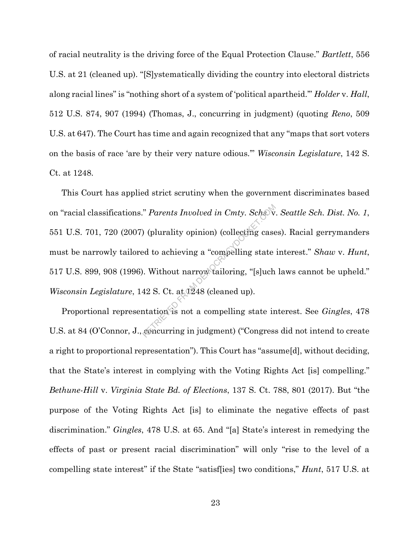of racial neutrality is the driving force of the Equal Protection Clause." *Bartlett*, 556 U.S. at 21 (cleaned up). "[S]ystematically dividing the country into electoral districts along racial lines" is "nothing short of a system of 'political apartheid.'" *Holder* v. *Hall*, 512 U.S. 874, 907 (1994) (Thomas, J., concurring in judgment) (quoting *Reno*, 509 U.S. at 647). The Court has time and again recognized that any "maps that sort voters on the basis of race 'are by their very nature odious.'" *Wisconsin Legislature*, 142 S. Ct. at 1248.

This Court has applied strict scrutiny when the government discriminates based on "racial classifications." *Parents Involved in Cmty. Schs. V. Seattle Sch. Dist. No. 1*, 551 U.S. 701, 720 (2007) (plurality opinion) (collecting cases). Racial gerrymanders must be narrowly tailored to achieving a "compelling state interest." *Shaw* v. *Hunt*, 517 U.S. 899, 908 (1996). Without narrow tailoring, "[s]uch laws cannot be upheld." *Wisconsin Legislature*, 142 S. Ct. at 1248 (cleaned up). *Parents Involved in Cmty. Schs.*<br>
(plurality opinion) (collecting case<br>
ed to achieving a "compelling state<br>
(example). Without narrow tailoring, "[s]uch<br>
42 S. Ct. at 0248 (cleaned up).<br>
12 S. Ct. at 0248 (cleaned up).<br>

Proportional representation is not a compelling state interest. See *Gingles*, 478 U.S. at 84 (O'Connor, J., concurring in judgment) ("Congress did not intend to create a right to proportional representation"). This Court has "assume[d], without deciding, that the State's interest in complying with the Voting Rights Act [is] compelling." *Bethune-Hill* v. *Virginia State Bd. of Elections*, 137 S. Ct. 788, 801 (2017). But "the purpose of the Voting Rights Act [is] to eliminate the negative effects of past discrimination." *Gingles*, 478 U.S. at 65. And "[a] State's interest in remedying the effects of past or present racial discrimination" will only "rise to the level of a compelling state interest" if the State "satisf[ies] two conditions," *Hunt*, 517 U.S. at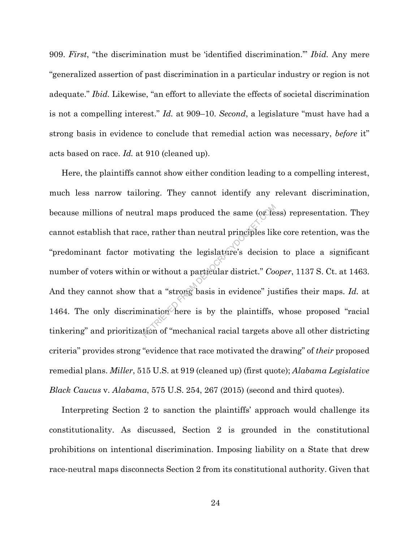909. *First*, "the discrimination must be 'identified discrimination.'" *Ibid.* Any mere "generalized assertion of past discrimination in a particular industry or region is not adequate." *Ibid.* Likewise, "an effort to alleviate the effects of societal discrimination is not a compelling interest." *Id.* at 909–10. *Second*, a legislature "must have had a strong basis in evidence to conclude that remedial action was necessary, *before* it" acts based on race. *Id.* at 910 (cleaned up).

Here, the plaintiffs cannot show either condition leading to a compelling interest, much less narrow tailoring. They cannot identify any relevant discrimination, because millions of neutral maps produced the same (or less) representation. They cannot establish that race, rather than neutral principles like core retention, was the "predominant factor motivating the legislature's decision to place a significant number of voters within or without a particular district." *Cooper*, 1137 S. Ct. at 1463. And they cannot show that a "strong basis in evidence" justifies their maps. *Id.* at 1464. The only discrimination here is by the plaintiffs, whose proposed "racial tinkering" and prioritization of "mechanical racial targets above all other districting criteria" provides strong "evidence that race motivated the drawing" of *their* proposed remedial plans. *Miller*, 515 U.S. at 919 (cleaned up) (first quote); *Alabama Legislative Black Caucus* v. *Alabama*, 575 U.S. 254, 267 (2015) (second and third quotes). ral maps produced the same (or de<br>
e, rather than neutral principles lik<br>
otivating the legislature's decision<br>
or without a particular district." Co<br>
hat a "strong basis in evidence" just<br>
ination here is by the plaintiff

Interpreting Section 2 to sanction the plaintiffs' approach would challenge its constitutionality. As discussed, Section 2 is grounded in the constitutional prohibitions on intentional discrimination. Imposing liability on a State that drew race-neutral maps disconnects Section 2 from its constitutional authority. Given that